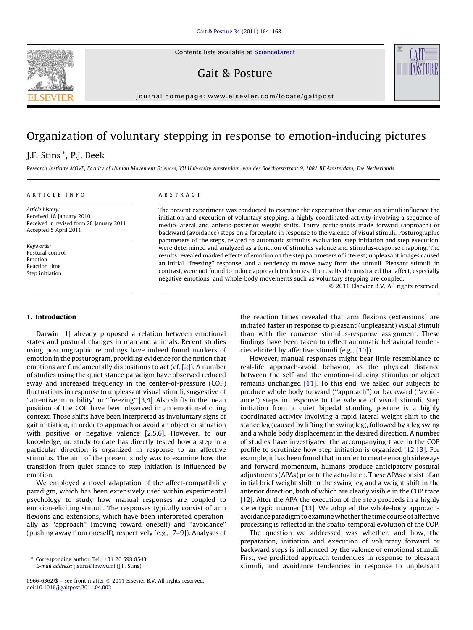Contents lists available at [ScienceDirect](http://www.sciencedirect.com/science/journal/09666362)



Gait & Posture



journal homepage: www.elsevier.com/locate/gaitpost

# Organization of voluntary stepping in response to emotion-inducing pictures

# J.F. Stins \*, P.J. Beek

Research Institute MOVE, Faculty of Human Movement Sciences, VU University Amsterdam, van der Boechorststraat 9, 1081 BT Amsterdam, The Netherlands

# ARTICLE INFO

Article history: Received 18 January 2010 Received in revised form 28 January 2011 Accepted 5 April 2011

Keywords: Postural control Emotion Reaction time Step initiation

# 1. Introduction

Darwin [\[1\]](#page-4-0) already proposed a relation between emotional states and postural changes in man and animals. Recent studies using posturographic recordings have indeed found markers of emotion in the posturogram, providing evidence for the notion that emotions are fundamentally dispositions to act (cf. [\[2\]\)](#page-4-0). A number of studies using the quiet stance paradigm have observed reduced sway and increased frequency in the center-of-pressure (COP) fluctuations in response to unpleasant visual stimuli, suggestive of "attentive immobility" or "freezing" [\[3,4\]](#page-4-0). Also shifts in the mean position of the COP have been observed in an emotion-eliciting context. Those shifts have been interpreted as involuntary signs of gait initiation, in order to approach or avoid an object or situation with positive or negative valence [\[2,5,6\].](#page-4-0) However, to our knowledge, no study to date has directly tested how a step in a particular direction is organized in response to an affective stimulus. The aim of the present study was to examine how the transition from quiet stance to step initiation is influenced by emotion.

We employed a novel adaptation of the affect-compatibility paradigm, which has been extensively used within experimental psychology to study how manual responses are coupled to emotion-eliciting stimuli. The responses typically consist of arm flexions and extensions, which have been interpreted operationally as ''approach'' (moving toward oneself) and ''avoidance'' (pushing away from oneself), respectively (e.g., [\[7–9\]\)](#page-4-0). Analyses of

# ABSTRACT

The present experiment was conducted to examine the expectation that emotion stimuli influence the initiation and execution of voluntary stepping, a highly coordinated activity involving a sequence of medio-lateral and anterio-posterior weight shifts. Thirty participants made forward (approach) or backward (avoidance) steps on a forceplate in response to the valence of visual stimuli. Posturographic parameters of the steps, related to automatic stimulus evaluation, step initiation and step execution, were determined and analyzed as a function of stimulus valence and stimulus-response mapping. The results revealed marked effects of emotion on the step parameters of interest; unpleasant images caused an initial "freezing" response, and a tendency to move away from the stimuli. Pleasant stimuli, in contrast, were not found to induce approach tendencies. The results demonstrated that affect, especially negative emotions, and whole-body movements such as voluntary stepping are coupled.

- 2011 Elsevier B.V. All rights reserved.

the reaction times revealed that arm flexions (extensions) are initiated faster in response to pleasant (unpleasant) visual stimuli than with the converse stimulus-response assignment. These findings have been taken to reflect automatic behavioral tendencies elicited by affective stimuli (e.g., [\[10\]](#page-4-0)).

However, manual responses might bear little resemblance to real-life approach-avoid behavior, as the physical distance between the self and the emotion-inducing stimulus or object remains unchanged [\[11\]](#page-4-0). To this end, we asked our subjects to produce whole body forward (''approach'') or backward (''avoidance'') steps in response to the valence of visual stimuli. Step initiation from a quiet bipedal standing posture is a highly coordinated activity involving a rapid lateral weight shift to the stance leg (caused by lifting the swing leg), followed by a leg swing and a whole body displacement in the desired direction. A number of studies have investigated the accompanying trace in the COP profile to scrutinize how step initiation is organized [\[12,13\]](#page-4-0). For example, it has been found that in order to create enough sideways and forward momentum, humans produce anticipatory postural adjustments (APAs) prior to the actual step. These APAs consist of an initial brief weight shift to the swing leg and a weight shift in the anterior direction, both of which are clearly visible in the COP trace [\[12\]](#page-4-0). After the APA the execution of the step proceeds in a highly stereotypic manner [\[13\].](#page-4-0) We adopted the whole-body approachavoidance paradigm to examine whether the time course of affective processing is reflected in the spatio-temporal evolution of the COP.

The question we addressed was whether, and how, the preparation, initiation and execution of voluntary forward or backward steps is influenced by the valence of emotional stimuli. First, we predicted approach tendencies in response to pleasant stimuli, and avoidance tendencies in response to unpleasant

<sup>\*</sup> Corresponding author. Tel.: +31 20 598 8543. E-mail address: [j.stins@fbw.vu.nl](mailto:j.stins@fbw.vu.nl) (J.F. Stins).

<sup>0966-6362/\$ –</sup> see front matter © 2011 Elsevier B.V. All rights reserved. doi:[10.1016/j.gaitpost.2011.04.002](http://dx.doi.org/10.1016/j.gaitpost.2011.04.002)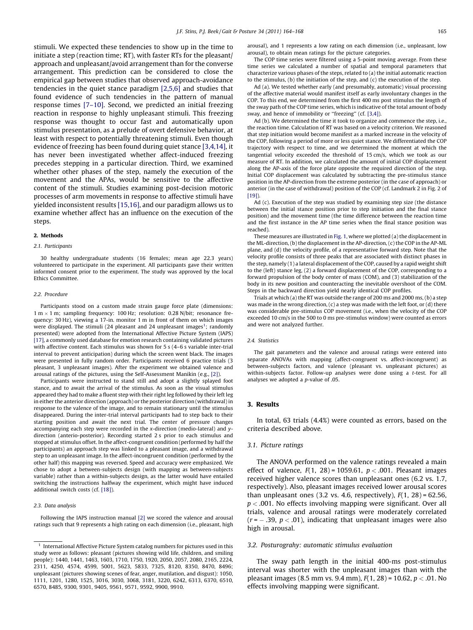stimuli. We expected these tendencies to show up in the time to initiate a step (reaction time; RT), with faster RTs for the pleasant/ approach and unpleasant/avoid arrangement than for the converse arrangement. This prediction can be considered to close the empirical gap between studies that observed approach-avoidance tendencies in the quiet stance paradigm [\[2,5,6\]](#page-4-0) and studies that found evidence of such tendencies in the pattern of manual response times [\[7–10\]](#page-4-0). Second, we predicted an initial freezing reaction in response to highly unpleasant stimuli. This freezing response was thought to occur fast and automatically upon stimulus presentation, as a prelude of overt defensive behavior, at least with respect to potentially threatening stimuli. Even though evidence of freezing has been found during quiet stance [\[3,4,14\]](#page-4-0), it has never been investigated whether affect-induced freezing precedes stepping in a particular direction. Third, we examined whether other phases of the step, namely the execution of the movement and the APAs, would be sensitive to the affective content of the stimuli. Studies examining post-decision motoric processes of arm movements in response to affective stimuli have yielded inconsistent results [\[15,16\],](#page-4-0) and our paradigm allows us to examine whether affect has an influence on the execution of the steps.

# 2. Methods

### 2.1. Participants

30 healthy undergraduate students (16 females; mean age 22.3 years) volunteered to participate in the experiment. All participants gave their written informed consent prior to the experiment. The study was approved by the local Ethics Committee.

### 2.2. Procedure

Participants stood on a custom made strain gauge force plate (dimensions:  $1 m \times 1 m$ ; sampling frequency: 100 Hz; resolution: 0.28 N/bit; resonance frequency: 30 Hz), viewing a 17-in. monitor 1 m in front of them on which images were displayed. The stimuli (24 pleasant and 24 unpleasant images<sup>1</sup>; randomly presented) were adopted from the International Affective Picture System (IAPS) [\[17\]](#page-4-0), a commonly used database for emotion research containing validated pictures with affective content. Each stimulus was shown for 5 s (4–6 s variable inter-trial interval to prevent anticipation) during which the screen went black. The images were presented in fully random order. Participants received 6 practice trials (3 pleasant, 3 unpleasant images). After the experiment we obtained valence and arousal ratings of the pictures, using the Self-Assessment Manikin (e.g., [\[2\]\)](#page-4-0).

Participants were instructed to stand still and adopt a slightly splayed foot stance, and to await the arrival of the stimulus. As soon as the visual stimulus appeared they had to make a fluent step with their right leg followed by their left leg in either the anterior direction (approach) or the posterior direction (withdrawal) in response to the valence of the image, and to remain stationary until the stimulus disappeared. During the inter-trial interval participants had to step back to their starting position and await the next trial. The center of pressure changes accompanying each step were recorded in the x-direction (medio-lateral) and ydirection (anterio-posterior). Recording started 2 s prior to each stimulus and stopped at stimulus offset. In the affect-congruent condition (performed by half the participants) an approach step was linked to a pleasant image, and a withdrawal step to an unpleasant image. In the affect-incongruent condition (performed by the other half) this mapping was reversed. Speed and accuracy were emphasized. We chose to adopt a between-subjects design (with mapping as between-subjects variable) rather than a within-subjects design, as the latter would have entailed switching the instructions halfway the experiment, which might have induced additional switch costs (cf. [\[18\]\)](#page-4-0).

## 2.3. Data analysis

Following the IAPS instruction manual [\[2\]](#page-4-0) we scored the valence and arousal ratings such that 9 represents a high rating on each dimension (i.e., pleasant, high arousal), and 1 represents a low rating on each dimension (i.e., unpleasant, low arousal), to obtain mean ratings for the picture categories.

The COP time series were filtered using a 5-point moving average. From these time series we calculated a number of spatial and temporal parameters that characterize various phases of the steps, related to (a) the initial automatic reaction to the stimulus, (b) the initiation of the step, and (c) the execution of the step.

Ad (a). We tested whether early (and presumably, automatic) visual processing of the affective material would manifest itself as early involuntary changes in the COP. To this end, we determined from the first 400 ms post stimulus the length of the sway path of the COP time series, which is indicative of the total amount of body sway, and hence of immobility or "freezing" (cf. [\[3,4\]\)](#page-4-0).

Ad (b). We determined the time it took to organize and commence the step, i.e., the reaction time. Calculation of RT was based on a velocity criterion. We reasoned that step initiation would become manifest as a marked increase in the velocity of the COP, following a period of more or less quiet stance. We differentiated the COP trajectory with respect to time, and we determined the moment at which the tangential velocity exceeded the threshold of 15 cm/s, which we took as our measure of RT. In addition, we calculated the amount of initial COP displacement along the AP-axis of the force plate opposite the required direction of the step. Initial COP displacement was calculated by subtracting the pre-stimulus stance position in the AP-direction from the extreme posterior (in the case of approach) or anterior (in the case of withdrawal) position of the COP (cf. Landmark 2 in Fig. 2 of [\[19\]](#page-4-0)).

Ad (c). Execution of the step was studied by examining step size (the distance between the initial stance position prior to step initiation and the final stance position) and the movement time (the time difference between the reaction time and the first instance in the AP time series when the final stance position was reached).

These measures are illustrated in [Fig. 1](#page-2-0), where we plotted (a) the displacement in the ML-direction, (b) the displacement in the AP-direction, (c) the COP in the AP-ML plane, and (d) the velocity profile, of a representative forward step. Note that the velocity profile consists of three peaks that are associated with distinct phases in the step, namely (1) a lateral displacement of the COP, caused by a rapid weight shift to the (left) stance leg, (2) a forward displacement of the COP, corresponding to a forward propulsion of the body center of mass (COM), and (3) stabilization of the body in its new position and counteracting the inevitable overshoot of the COM. Steps in the backward direction yield nearly identical COP profiles.

Trials at which (a) the RT was outside the range of 200 ms and 2000 ms, (b) a step was made in the wrong direction, (c) a step was made with the left foot, or (d) there was considerable pre-stimulus COP movement (i.e., when the velocity of the COP exceeded 10 cm/s in the 500 to 0 ms pre-stimulus window) were counted as errors and were not analyzed further.

#### 2.4. Statistics

The gait parameters and the valence and arousal ratings were entered into separate ANOVAs with mapping (affect-congruent vs. affect-incongruent) as between-subjects factors, and valence (pleasant vs. unpleasant pictures) as within-subjects factor. Follow-up analyses were done using a t-test. For all analyses we adopted a p-value of .05.

# 3. Results

In total, 63 trials (4.4%) were counted as errors, based on the criteria described above.

# 3.1. Picture ratings

The ANOVA performed on the valence ratings revealed a main effect of valence,  $F(1, 28) = 1059.61$ ,  $p < .001$ . Pleasant images received higher valence scores than unpleasant ones (6.2 vs. 1.7, respectively). Also, pleasant images received lower arousal scores than unpleasant ones (3.2 vs. 4.6, respectively),  $F(1, 28) = 62.56$ ,  $p < .001$ . No effects involving mapping were significant. Over all trials, valence and arousal ratings were moderately correlated  $(r = -.39, p < .01)$ , indicating that unpleasant images were also high in arousal.

# 3.2. Posturograhy: automatic stimulus evaluation

The sway path length in the initial 400-ms post-stimulus interval was shorter with the unpleasant images than with the pleasant images (8.5 mm vs. 9.4 mm),  $F(1, 28) = 10.62$ ,  $p < .01$ . No effects involving mapping were significant.

<sup>1</sup> International Affective Picture System catalog numbers for pictures used in this study were as follows: pleasant (pictures showing wild life, children, and smiling people): 1440, 1441, 1463, 1603, 1710, 1750, 1920, 2050, 2057, 2080, 2165, 2224, 2311, 4250, 4574, 4599, 5001, 5623, 5833, 7325, 8120, 8350, 8470, 8496; unpleasant (pictures showing scenes of fear, anger, mutilation, and disgust): 1050, 1111, 1201, 1280, 1525, 3016, 3030, 3068, 3181, 3220, 6242, 6313, 6370, 6510, 6570, 8485, 9300, 9301, 9405, 9561, 9571, 9592, 9900, 9910.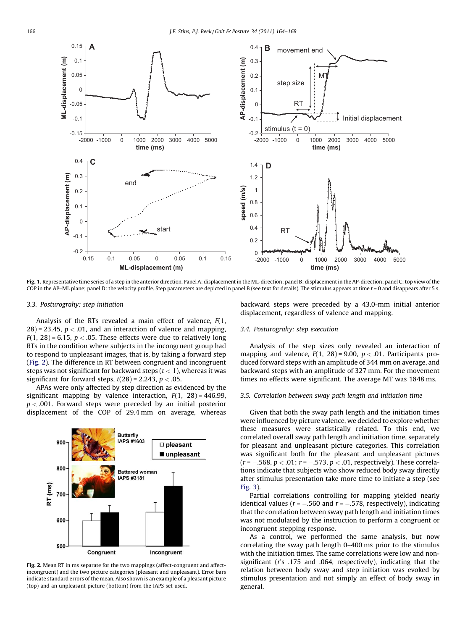<span id="page-2-0"></span>

Fig. 1. Representative time series of a step in the anterior direction. Panel A: displacement in the ML-direction; panel B: displacement in the AP-direction; panel C: top view of the COP in the AP–ML plane; panel D: the velocity profile. Step parameters are depicted in panel B (see text for details). The stimulus appears at time  $t = 0$  and disappears after 5 s.

# 3.3. Posturograhy: step initiation

Analysis of the RTs revealed a main effect of valence,  $F(1, 1)$  $28$  = 23.45,  $p < .01$ , and an interaction of valence and mapping,  $F(1, 28) = 6.15$ ,  $p < .05$ . These effects were due to relatively long RTs in the condition where subjects in the incongruent group had to respond to unpleasant images, that is, by taking a forward step (Fig. 2). The difference in RT between congruent and incongruent steps was not significant for backward steps  $(t < 1)$ , whereas it was significant for forward steps,  $t(28) = 2.243$ ,  $p < .05$ .

APAs were only affected by step direction as evidenced by the significant mapping by valence interaction,  $F(1, 28) = 446.99$ ,  $p < .001$ . Forward steps were preceded by an initial posterior displacement of the COP of 29.4 mm on average, whereas



Fig. 2. Mean RT in ms separate for the two mappings (affect-congruent and affectincongruent) and the two picture categories (pleasant and unpleasant). Error bars indicate standard errors of the mean. Also shown is an example of a pleasant picture (top) and an unpleasant picture (bottom) from the IAPS set used.

backward steps were preceded by a 43.0-mm initial anterior displacement, regardless of valence and mapping.

# 3.4. Posturograhy: step execution

Analysis of the step sizes only revealed an interaction of mapping and valence,  $F(1, 28) = 9.00$ ,  $p < .01$ . Participants produced forward steps with an amplitude of 344 mm on average, and backward steps with an amplitude of 327 mm. For the movement times no effects were significant. The average MT was 1848 ms.

# 3.5. Correlation between sway path length and initiation time

Given that both the sway path length and the initiation times were influenced by picture valence, we decided to explore whether these measures were statistically related. To this end, we correlated overall sway path length and initiation time, separately for pleasant and unpleasant picture categories. This correlation was significant both for the pleasant and unpleasant pictures  $(r = -.568, p < .01; r = -.573, p < .01$ , respectively). These correlations indicate that subjects who show reduced body sway directly after stimulus presentation take more time to initiate a step (see [Fig. 3](#page-3-0)).

Partial correlations controlling for mapping yielded nearly identical values ( $r = -.560$  and  $r = -.578$ , respectively), indicating that the correlation between sway path length and initiation times was not modulated by the instruction to perform a congruent or incongruent stepping response.

As a control, we performed the same analysis, but now correlating the sway path length 0–400 ms prior to the stimulus with the initiation times. The same correlations were low and nonsignificant (r's .175 and .064, respectively), indicating that the relation between body sway and step initiation was evoked by stimulus presentation and not simply an effect of body sway in general.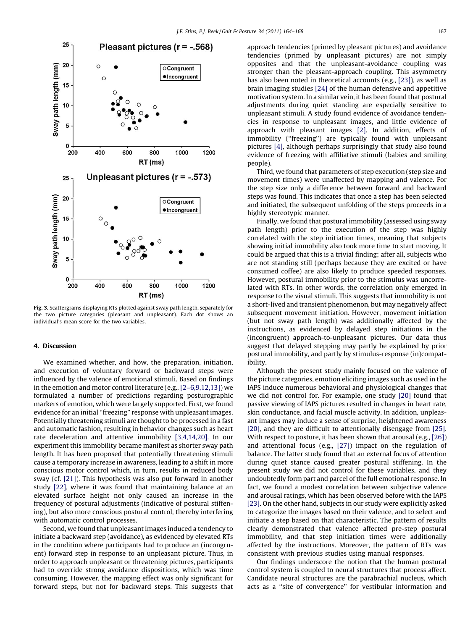<span id="page-3-0"></span>

Fig. 3. Scattergrams displaying RTs plotted against sway path length, separately for the two picture categories (pleasant and unpleasant). Each dot shows an individual's mean score for the two variables.

# 4. Discussion

We examined whether, and how, the preparation, initiation, and execution of voluntary forward or backward steps were influenced by the valence of emotional stimuli. Based on findings in the emotion and motor control literature (e.g., [\[2–6,9,12,13\]](#page-4-0)) we formulated a number of predictions regarding posturographic markers of emotion, which were largely supported. First, we found evidence for an initial ''freezing'' response with unpleasant images. Potentially threatening stimuli are thought to be processed in a fast and automatic fashion, resulting in behavior changes such as heart rate deceleration and attentive immobility [\[3,4,14,20\]](#page-4-0). In our experiment this immobility became manifest as shorter sway path length. It has been proposed that potentially threatening stimuli cause a temporary increase in awareness, leading to a shift in more conscious motor control which, in turn, results in reduced body sway (cf. [\[21\]\)](#page-4-0). This hypothesis was also put forward in another study [\[22\]](#page-4-0), where it was found that maintaining balance at an elevated surface height not only caused an increase in the frequency of postural adjustments (indicative of postural stiffening), but also more conscious postural control, thereby interfering with automatic control processes.

Second, we found that unpleasant images induced a tendency to initiate a backward step (avoidance), as evidenced by elevated RTs in the condition where participants had to produce an (incongruent) forward step in response to an unpleasant picture. Thus, in order to approach unpleasant or threatening pictures, participants had to override strong avoidance dispositions, which was time consuming. However, the mapping effect was only significant for forward steps, but not for backward steps. This suggests that approach tendencies (primed by pleasant pictures) and avoidance tendencies (primed by unpleasant pictures) are not simply opposites and that the unpleasant-avoidance coupling was stronger than the pleasant-approach coupling. This asymmetry has also been noted in theoretical accounts (e.g., [\[23\]](#page-4-0)), as well as brain imaging studies [\[24\]](#page-4-0) of the human defensive and appetitive motivation system. In a similar vein, it has been found that postural adjustments during quiet standing are especially sensitive to unpleasant stimuli. A study found evidence of avoidance tendencies in response to unpleasant images, and little evidence of approach with pleasant images [\[2\].](#page-4-0) In addition, effects of immobility ("freezing") are typically found with unpleasant pictures [\[4\]](#page-4-0), although perhaps surprisingly that study also found evidence of freezing with affiliative stimuli (babies and smiling people).

Third, we found that parameters of step execution (step size and movement times) were unaffected by mapping and valence. For the step size only a difference between forward and backward steps was found. This indicates that once a step has been selected and initiated, the subsequent unfolding of the steps proceeds in a highly stereotypic manner.

Finally, we found that postural immobility (assessed using sway path length) prior to the execution of the step was highly correlated with the step initiation times, meaning that subjects showing initial immobility also took more time to start moving. It could be argued that this is a trivial finding; after all, subjects who are not standing still (perhaps because they are excited or have consumed coffee) are also likely to produce speeded responses. However, postural immobility prior to the stimulus was uncorrelated with RTs. In other words, the correlation only emerged in response to the visual stimuli. This suggests that immobility is not a short-lived and transient phenomenon, but may negatively affect subsequent movement initiation. However, movement initiation (but not sway path length) was additionally affected by the instructions, as evidenced by delayed step initiations in the (incongruent) approach-to-unpleasant pictures. Our data thus suggest that delayed stepping may partly be explained by prior postural immobility, and partly by stimulus-response (in)compatibility.

Although the present study mainly focused on the valence of the picture categories, emotion eliciting images such as used in the IAPS induce numerous behavioral and physiological changes that we did not control for. For example, one study [\[20\]](#page-4-0) found that passive viewing of IAPS pictures resulted in changes in heart rate, skin conductance, and facial muscle activity. In addition, unpleasant images may induce a sense of surprise, heightened awareness [\[20\]](#page-4-0), and they are difficult to attentionally disengage from [\[25\].](#page-4-0) With respect to posture, it has been shown that arousal (e.g., [\[26\]\)](#page-4-0) and attentional focus (e.g., [\[27\]](#page-4-0)) impact on the regulation of balance. The latter study found that an external focus of attention during quiet stance caused greater postural stiffening. In the present study we did not control for these variables, and they undoubtedly form part and parcel of the full emotional response. In fact, we found a modest correlation between subjective valence and arousal ratings, which has been observed before with the IAPS [\[23\]](#page-4-0). On the other hand, subjects in our study were explicitly asked to categorize the images based on their valence, and to select and initiate a step based on that characteristic. The pattern of results clearly demonstrated that valence affected pre-step postural immobility, and that step initiation times were additionally affected by the instructions. Moreover, the pattern of RTs was consistent with previous studies using manual responses.

Our findings underscore the notion that the human postural control system is coupled to neural structures that process affect. Candidate neural structures are the parabrachial nucleus, which acts as a ''site of convergence'' for vestibular information and